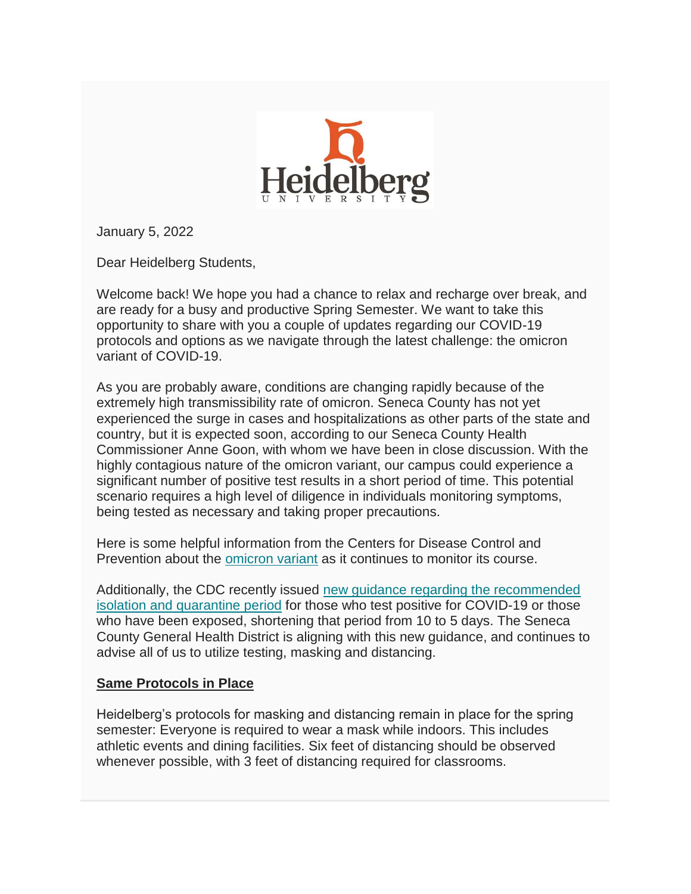

January 5, 2022

Dear Heidelberg Students,

Welcome back! We hope you had a chance to relax and recharge over break, and are ready for a busy and productive Spring Semester. We want to take this opportunity to share with you a couple of updates regarding our COVID-19 protocols and options as we navigate through the latest challenge: the omicron variant of COVID-19.

As you are probably aware, conditions are changing rapidly because of the extremely high transmissibility rate of omicron. Seneca County has not yet experienced the surge in cases and hospitalizations as other parts of the state and country, but it is expected soon, according to our Seneca County Health Commissioner Anne Goon, with whom we have been in close discussion. With the highly contagious nature of the omicron variant, our campus could experience a significant number of positive test results in a short period of time. This potential scenario requires a high level of diligence in individuals monitoring symptoms, being tested as necessary and taking proper precautions.

Here is some helpful information from the Centers for Disease Control and Prevention about the [omicron variant](https://heidelberg.us1.list-manage.com/track/click?u=aedcf85e9275dba4a51d423f2&id=50b62ee29d&e=97159f85d8) as it continues to monitor its course.

Additionally, the CDC recently issued [new guidance regarding the recommended](https://heidelberg.us1.list-manage.com/track/click?u=aedcf85e9275dba4a51d423f2&id=456ea4fdab&e=97159f85d8)  [isolation and quarantine period](https://heidelberg.us1.list-manage.com/track/click?u=aedcf85e9275dba4a51d423f2&id=456ea4fdab&e=97159f85d8) for those who test positive for COVID-19 or those who have been exposed, shortening that period from 10 to 5 days. The Seneca County General Health District is aligning with this new guidance, and continues to advise all of us to utilize testing, masking and distancing.

## **Same Protocols in Place**

Heidelberg's protocols for masking and distancing remain in place for the spring semester: Everyone is required to wear a mask while indoors. This includes athletic events and dining facilities. Six feet of distancing should be observed whenever possible, with 3 feet of distancing required for classrooms.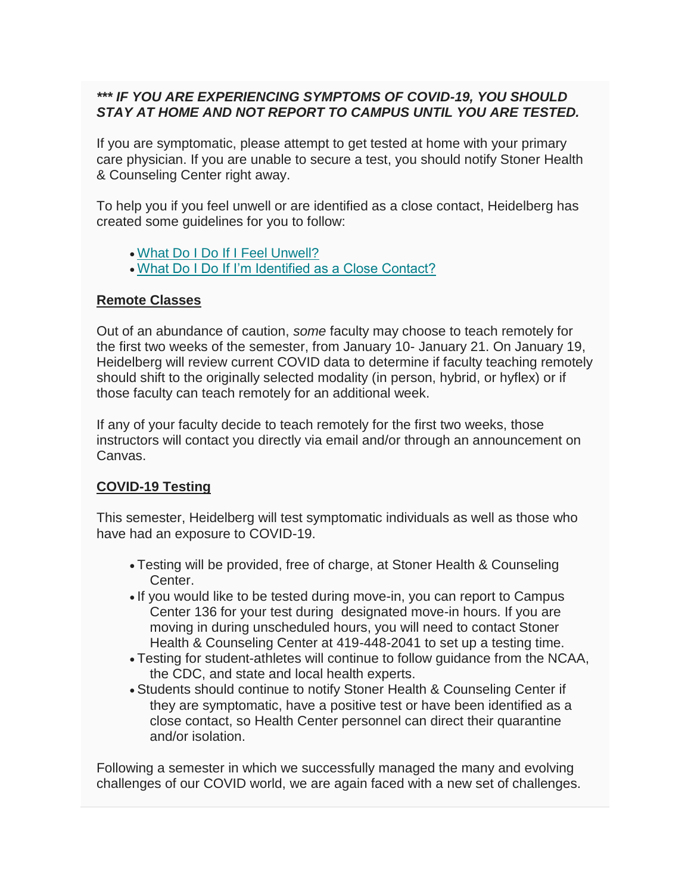## *\*\*\* IF YOU ARE EXPERIENCING SYMPTOMS OF COVID-19, YOU SHOULD STAY AT HOME AND NOT REPORT TO CAMPUS UNTIL YOU ARE TESTED.*

If you are symptomatic, please attempt to get tested at home with your primary care physician. If you are unable to secure a test, you should notify Stoner Health & Counseling Center right away.

To help you if you feel unwell or are identified as a close contact, Heidelberg has created some guidelines for you to follow:

- [What Do I Do If I Feel Unwell?](https://heidelberg.us1.list-manage.com/track/click?u=aedcf85e9275dba4a51d423f2&id=2c0c25a855&e=97159f85d8)
- [What Do I Do If I'm Identified as a Close Contact?](https://heidelberg.us1.list-manage.com/track/click?u=aedcf85e9275dba4a51d423f2&id=bd8bfb5621&e=97159f85d8)

## **Remote Classes**

Out of an abundance of caution, *some* faculty may choose to teach remotely for the first two weeks of the semester, from January 10- January 21. On January 19, Heidelberg will review current COVID data to determine if faculty teaching remotely should shift to the originally selected modality (in person, hybrid, or hyflex) or if those faculty can teach remotely for an additional week.

If any of your faculty decide to teach remotely for the first two weeks, those instructors will contact you directly via email and/or through an announcement on Canvas.

## **COVID-19 Testing**

This semester, Heidelberg will test symptomatic individuals as well as those who have had an exposure to COVID-19.

- Testing will be provided, free of charge, at Stoner Health & Counseling Center.
- If you would like to be tested during move-in, you can report to Campus Center 136 for your test during designated move-in hours. If you are moving in during unscheduled hours, you will need to contact Stoner Health & Counseling Center at 419-448-2041 to set up a testing time.
- Testing for student-athletes will continue to follow guidance from the NCAA, the CDC, and state and local health experts.
- Students should continue to notify Stoner Health & Counseling Center if they are symptomatic, have a positive test or have been identified as a close contact, so Health Center personnel can direct their quarantine and/or isolation.

Following a semester in which we successfully managed the many and evolving challenges of our COVID world, we are again faced with a new set of challenges.